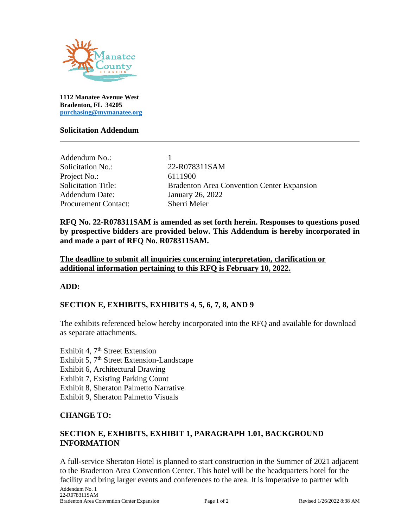

**1112 Manatee Avenue West Bradenton, FL 34205 [purchasing@mymanatee.org](mailto:purchasing@mymanatee.org)**

#### **Solicitation Addendum**

| Addendum No.:<br>Solicitation No.: | 22-R078311SAM                                     |
|------------------------------------|---------------------------------------------------|
| Project No.:                       | 6111900                                           |
| <b>Solicitation Title:</b>         | <b>Bradenton Area Convention Center Expansion</b> |
| <b>Addendum Date:</b>              | January 26, 2022                                  |
| <b>Procurement Contact:</b>        | Sherri Meier                                      |

**RFQ No. 22-R078311SAM is amended as set forth herein. Responses to questions posed by prospective bidders are provided below. This Addendum is hereby incorporated in and made a part of RFQ No. R078311SAM.** 

**The deadline to submit all inquiries concerning interpretation, clarification or additional information pertaining to this RFQ is February 10, 2022.**

#### **ADD:**

#### **SECTION E, EXHIBITS, EXHIBITS 4, 5, 6, 7, 8, AND 9**

The exhibits referenced below hereby incorporated into the RFQ and available for download as separate attachments.

Exhibit 4,  $7<sup>th</sup>$  Street Extension

Exhibit 5, 7<sup>th</sup> Street Extension-Landscape

Exhibit 6, Architectural Drawing

Exhibit 7, Existing Parking Count

Exhibit 8, Sheraton Palmetto Narrative

Exhibit 9, Sheraton Palmetto Visuals

#### **CHANGE TO:**

#### **SECTION E, EXHIBITS, EXHIBIT 1, PARAGRAPH 1.01, BACKGROUND INFORMATION**

A full-service Sheraton Hotel is planned to start construction in the Summer of 2021 adjacent to the Bradenton Area Convention Center. This hotel will be the headquarters hotel for the facility and bring larger events and conferences to the area. It is imperative to partner with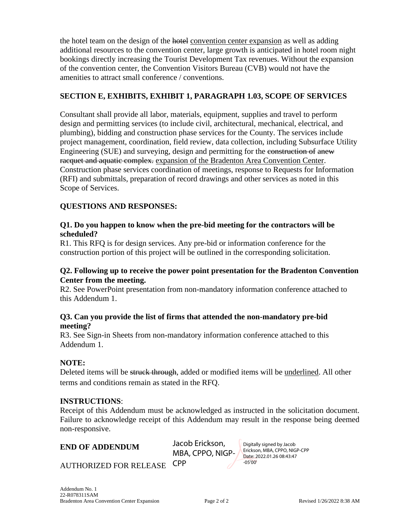the hotel team on the design of the hotel convention center expansion as well as adding additional resources to the convention center, large growth is anticipated in hotel room night bookings directly increasing the Tourist Development Tax revenues. Without the expansion of the convention center, the Convention Visitors Bureau (CVB) would not have the amenities to attract small conference / conventions.

#### **SECTION E, EXHIBITS, EXHIBIT 1, PARAGRAPH 1.03, SCOPE OF SERVICES**

Consultant shall provide all labor, materials, equipment, supplies and travel to perform design and permitting services (to include civil, architectural, mechanical, electrical, and plumbing), bidding and construction phase services for the County. The services include project management, coordination, field review, data collection, including Subsurface Utility Engineering (SUE) and surveying, design and permitting for the construction of anew racquet and aquatic complex. expansion of the Bradenton Area Convention Center. Construction phase services coordination of meetings, response to Requests for Information (RFI) and submittals, preparation of record drawings and other services as noted in this Scope of Services.

#### **QUESTIONS AND RESPONSES:**

#### **Q1. Do you happen to know when the pre-bid meeting for the contractors will be scheduled?**

R1. This RFQ is for design services. Any pre-bid or information conference for the construction portion of this project will be outlined in the corresponding solicitation.

#### **Q2. Following up to receive the power point presentation for the Bradenton Convention Center from the meeting.**

R2. See PowerPoint presentation from non-mandatory information conference attached to this Addendum 1.

#### **Q3. Can you provide the list of firms that attended the non-mandatory pre-bid meeting?**

R3. See Sign-in Sheets from non-mandatory information conference attached to this Addendum 1.

#### **NOTE:**

Deleted items will be struck through, added or modified items will be underlined. All other terms and conditions remain as stated in the RFQ.

#### **INSTRUCTIONS**:

Receipt of this Addendum must be acknowledged as instructed in the solicitation document. Failure to acknowledge receipt of this Addendum may result in the response being deemed non-responsive.

**END OF ADDENDUM** 

Jacob Erickson, MBA, CPPO, NIGP-

Digitally signed by Jacob Erickson, MBA, CPPO, NIGP-CPP Date: 2022.01.26 08:43:47 -05'00'

AUTHORIZED FOR RELEASE CPP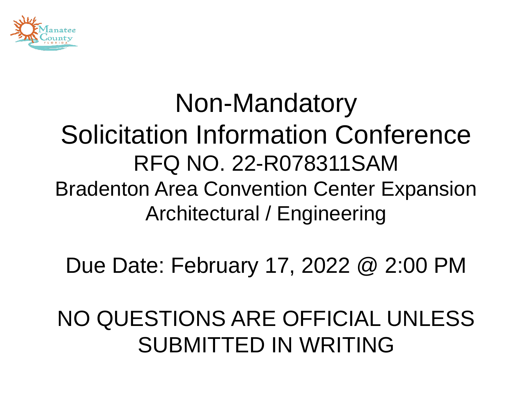

#### Non-Mandatory Solicitation Information Conference RFQ NO. 22-R078311SAM Bradenton Area Convention Center Expansion Architectural / Engineering

Due Date: February 17, 2022 @ 2:00 PM

#### NO QUESTIONS ARE OFFICIAL UNLESS SUBMITTED IN WRITING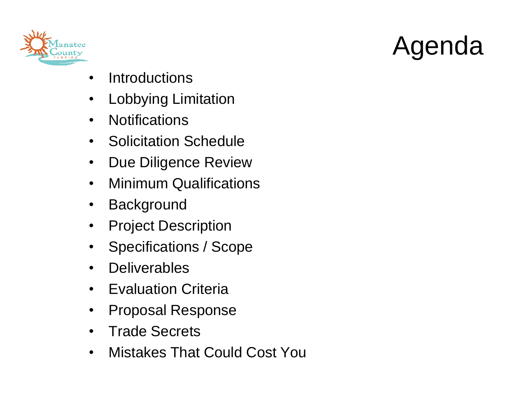



- Introductions
- Lobbying Limitation
- Notifications
- Solicitation Schedule
- Due Diligence Review
- Minimum Qualifications
- Background
- Project Description
- Specifications / Scope
- Deliverables
- Evaluation Criteria
- Proposal Response
- Trade Secrets
- Mistakes That Could Cost You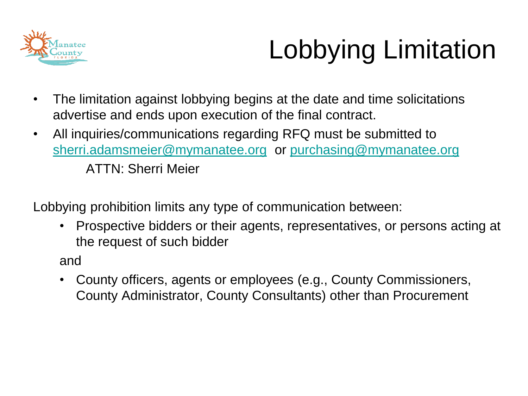

### Lobbying Limitation

- The limitation against lobbying begins at the date and time solicitations advertise and ends upon execution of the final contract.
- All inquiries/communications regarding RFQ must be submitted to [sherri.adamsmeier@mymanatee.org](mailto:sherri.adamsmeier@mymanatee.org) or [purchasing@mymanatee.org](mailto:purchasing@mymanatee.org) ATTN: Sherri Meier

Lobbying prohibition limits any type of communication between:

• Prospective bidders or their agents, representatives, or persons acting at the request of such bidder

and

• County officers, agents or employees (e.g., County Commissioners, County Administrator, County Consultants) other than Procurement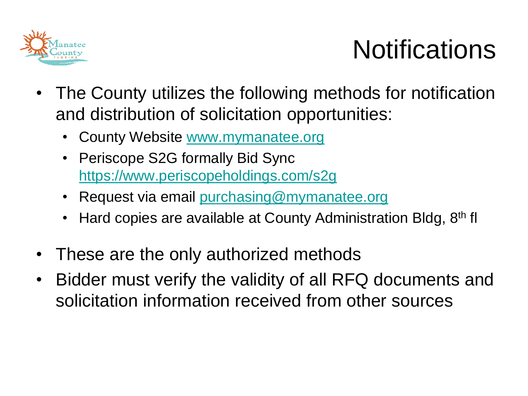

### **Notifications**

- The County utilizes the following methods for notification and distribution of solicitation opportunities:
	- County Website [www.mymanatee.org](http://www.mymanatee.org/)
	- Periscope S2G formally Bid Sync <https://www.periscopeholdings.com/s2g>
	- Request via email [purchasing@mymanatee.org](mailto:purchasing@mymanatee.org)
	- Hard copies are available at County Administration Bldg,  $8<sup>th</sup>$  fl
- These are the only authorized methods
- Bidder must verify the validity of all RFQ documents and solicitation information received from other sources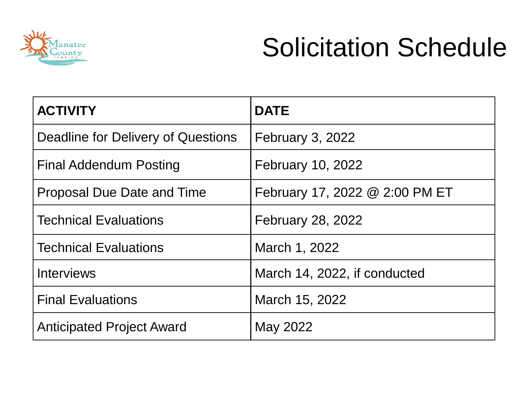

### Solicitation Schedule

| <b>ACTIVITY</b>                    | <b>DATE</b>                    |
|------------------------------------|--------------------------------|
| Deadline for Delivery of Questions | <b>February 3, 2022</b>        |
| Final Addendum Posting             | February 10, 2022              |
| <b>Proposal Due Date and Time</b>  | February 17, 2022 @ 2:00 PM ET |
| <b>Technical Evaluations</b>       | February 28, 2022              |
| <b>Technical Evaluations</b>       | March 1, 2022                  |
| <b>Interviews</b>                  | March 14, 2022, if conducted   |
| <b>Final Evaluations</b>           | March 15, 2022                 |
| <b>Anticipated Project Award</b>   | May 2022                       |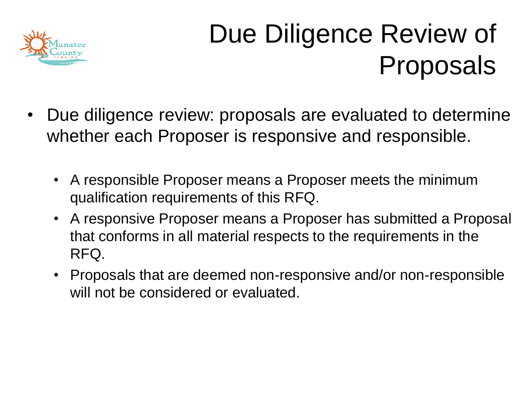

### Due Diligence Review of Proposals

- Due diligence review: proposals are evaluated to determine whether each Proposer is responsive and responsible.
	- A responsible Proposer means a Proposer meets the minimum qualification requirements of this RFQ.
	- A responsive Proposer means a Proposer has submitted a Proposal that conforms in all material respects to the requirements in the RFQ.
	- Proposals that are deemed non-responsive and/or non-responsible will not be considered or evaluated.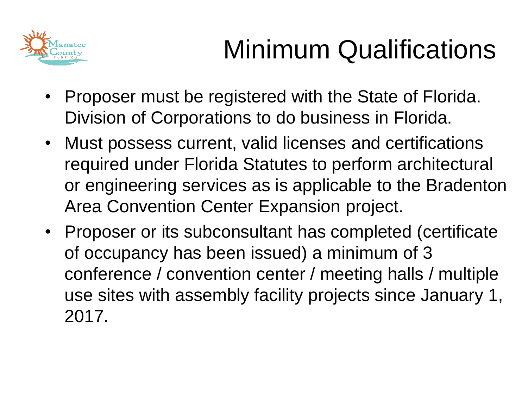

## Minimum Qualifications

- Proposer must be registered with the State of Florida. Division of Corporations to do business in Florida.
- Must possess current, valid licenses and certifications required under Florida Statutes to perform architectural or engineering services as is applicable to the Bradenton Area Convention Center Expansion project.
- Proposer or its subconsultant has completed (certificate of occupancy has been issued) a minimum of 3 conference / convention center / meeting halls / multiple use sites with assembly facility projects since January 1, 2017.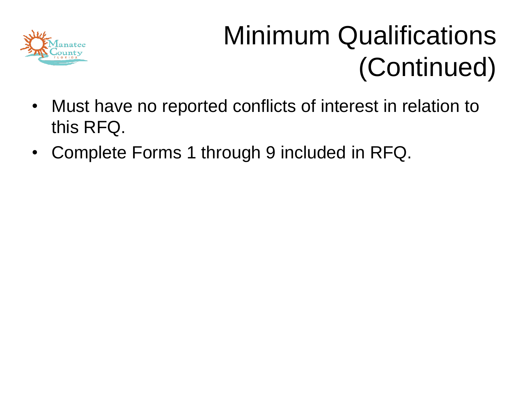

### Minimum Qualifications (Continued)

- Must have no reported conflicts of interest in relation to this RFQ.
- Complete Forms 1 through 9 included in RFQ.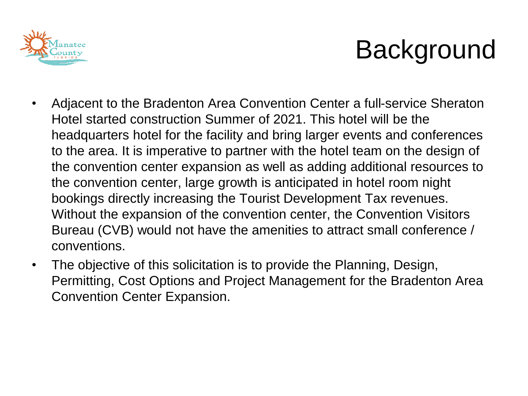

### Background

- Adjacent to the Bradenton Area Convention Center a full-service Sheraton Hotel started construction Summer of 2021. This hotel will be the headquarters hotel for the facility and bring larger events and conferences to the area. It is imperative to partner with the hotel team on the design of the convention center expansion as well as adding additional resources to the convention center, large growth is anticipated in hotel room night bookings directly increasing the Tourist Development Tax revenues. Without the expansion of the convention center, the Convention Visitors Bureau (CVB) would not have the amenities to attract small conference / conventions.
- The objective of this solicitation is to provide the Planning, Design, Permitting, Cost Options and Project Management for the Bradenton Area Convention Center Expansion.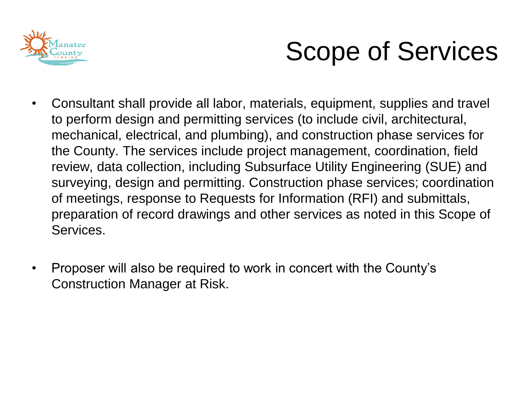

### Scope of Services

- Consultant shall provide all labor, materials, equipment, supplies and travel to perform design and permitting services (to include civil, architectural, mechanical, electrical, and plumbing), and construction phase services for the County. The services include project management, coordination, field review, data collection, including Subsurface Utility Engineering (SUE) and surveying, design and permitting. Construction phase services; coordination of meetings, response to Requests for Information (RFI) and submittals, preparation of record drawings and other services as noted in this Scope of Services.
- Proposer will also be required to work in concert with the County's Construction Manager at Risk.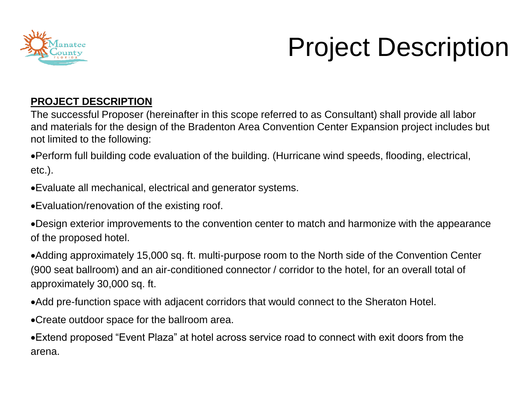

### Project Description

#### **PROJECT DESCRIPTION**

The successful Proposer (hereinafter in this scope referred to as Consultant) shall provide all labor and materials for the design of the Bradenton Area Convention Center Expansion project includes but not limited to the following:

•Perform full building code evaluation of the building. (Hurricane wind speeds, flooding, electrical, etc.).

•Evaluate all mechanical, electrical and generator systems.

•Evaluation/renovation of the existing roof.

•Design exterior improvements to the convention center to match and harmonize with the appearance of the proposed hotel.

•Adding approximately 15,000 sq. ft. multi-purpose room to the North side of the Convention Center (900 seat ballroom) and an air-conditioned connector / corridor to the hotel, for an overall total of approximately 30,000 sq. ft.

•Add pre-function space with adjacent corridors that would connect to the Sheraton Hotel.

•Create outdoor space for the ballroom area.

•Extend proposed "Event Plaza" at hotel across service road to connect with exit doors from the arena.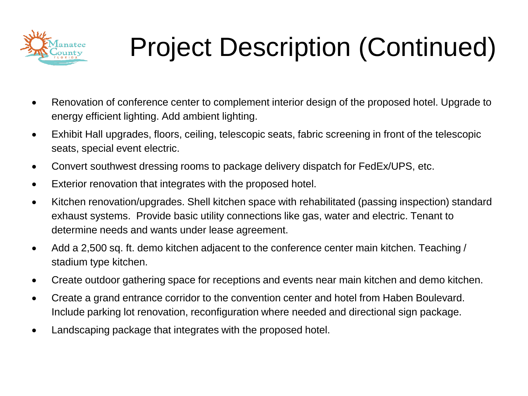

## Project Description (Continued)

- Renovation of conference center to complement interior design of the proposed hotel. Upgrade to energy efficient lighting. Add ambient lighting.
- Exhibit Hall upgrades, floors, ceiling, telescopic seats, fabric screening in front of the telescopic seats, special event electric.
- Convert southwest dressing rooms to package delivery dispatch for FedEx/UPS, etc.
- Exterior renovation that integrates with the proposed hotel.
- Kitchen renovation/upgrades. Shell kitchen space with rehabilitated (passing inspection) standard exhaust systems. Provide basic utility connections like gas, water and electric. Tenant to determine needs and wants under lease agreement.
- Add a 2,500 sq. ft. demo kitchen adjacent to the conference center main kitchen. Teaching / stadium type kitchen.
- Create outdoor gathering space for receptions and events near main kitchen and demo kitchen.
- Create a grand entrance corridor to the convention center and hotel from Haben Boulevard. Include parking lot renovation, reconfiguration where needed and directional sign package.
- Landscaping package that integrates with the proposed hotel.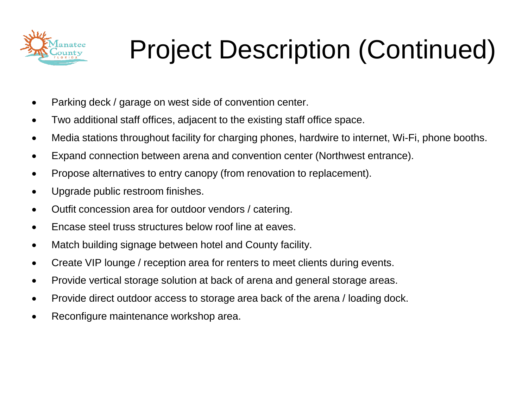

## Project Description (Continued)

- Parking deck / garage on west side of convention center.
- Two additional staff offices, adjacent to the existing staff office space.
- Media stations throughout facility for charging phones, hardwire to internet, Wi-Fi, phone booths.
- Expand connection between arena and convention center (Northwest entrance).
- Propose alternatives to entry canopy (from renovation to replacement).
- Upgrade public restroom finishes.
- Outfit concession area for outdoor vendors / catering.
- Encase steel truss structures below roof line at eaves.
- Match building signage between hotel and County facility.
- Create VIP lounge / reception area for renters to meet clients during events.
- Provide vertical storage solution at back of arena and general storage areas.
- Provide direct outdoor access to storage area back of the arena / loading dock.
- Reconfigure maintenance workshop area.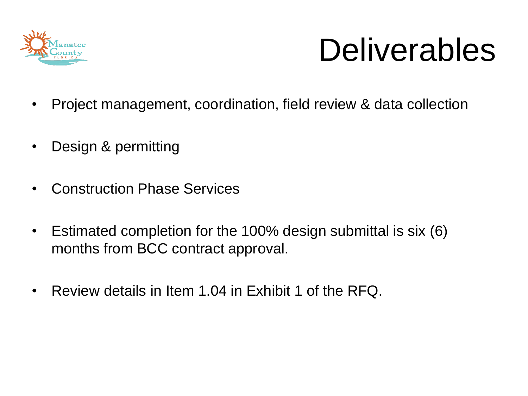

# Deliverables

- Project management, coordination, field review & data collection
- Design & permitting
- Construction Phase Services
- Estimated completion for the 100% design submittal is six (6) months from BCC contract approval.
- Review details in Item 1.04 in Exhibit 1 of the RFQ.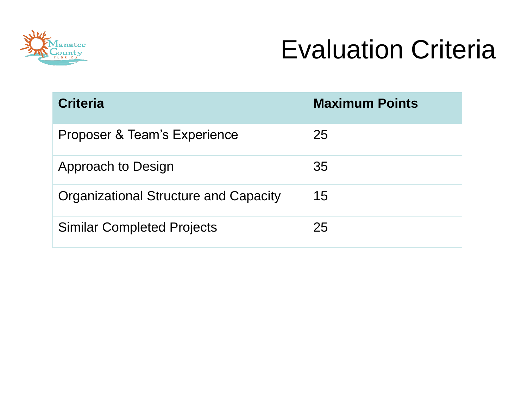

### Evaluation Criteria

| <b>Criteria</b>                       | <b>Maximum Points</b> |
|---------------------------------------|-----------------------|
| Proposer & Team's Experience          | 25                    |
| Approach to Design                    | 35                    |
| Organizational Structure and Capacity | 15                    |
| <b>Similar Completed Projects</b>     | 25                    |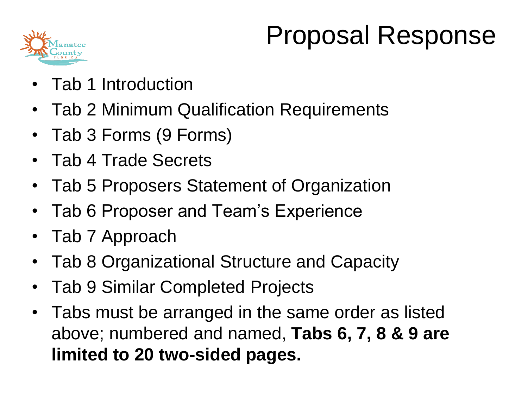

### Proposal Response

- Tab 1 Introduction
- Tab 2 Minimum Qualification Requirements
- Tab 3 Forms (9 Forms)
- Tab 4 Trade Secrets
- Tab 5 Proposers Statement of Organization
- Tab 6 Proposer and Team's Experience
- Tab 7 Approach
- Tab 8 Organizational Structure and Capacity
- Tab 9 Similar Completed Projects
- Tabs must be arranged in the same order as listed above; numbered and named, **Tabs 6, 7, 8 & 9 are limited to 20 two-sided pages.**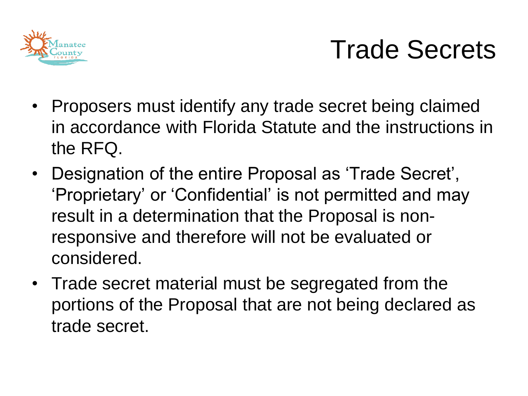

### Trade Secrets

- Proposers must identify any trade secret being claimed in accordance with Florida Statute and the instructions in the RFQ.
- Designation of the entire Proposal as 'Trade Secret', 'Proprietary' or 'Confidential' is not permitted and may result in a determination that the Proposal is nonresponsive and therefore will not be evaluated or considered.
- Trade secret material must be segregated from the portions of the Proposal that are not being declared as trade secret.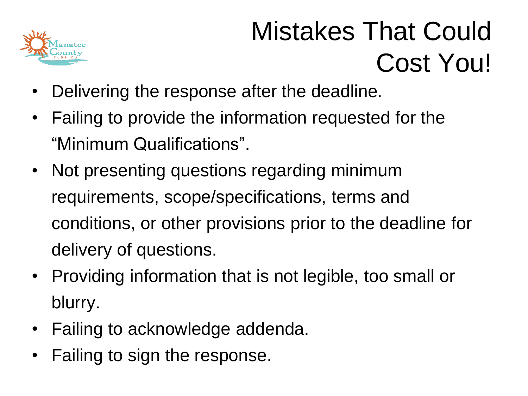

### Mistakes That Could Cost You!

- Delivering the response after the deadline.
- Failing to provide the information requested for the "Minimum Qualifications".
- Not presenting questions regarding minimum requirements, scope/specifications, terms and conditions, or other provisions prior to the deadline for delivery of questions.
- Providing information that is not legible, too small or blurry.
- Failing to acknowledge addenda.
- Failing to sign the response.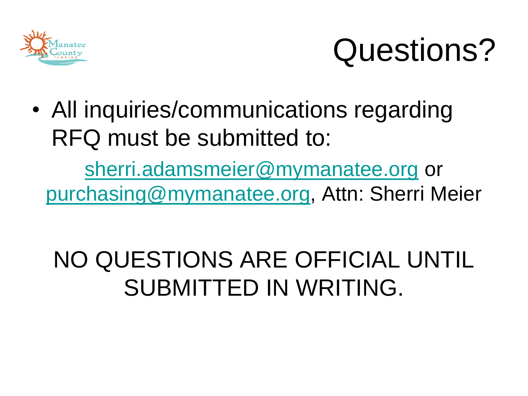

# Questions?

• All inquiries/communications regarding RFQ must be submitted to:

[sherri.adamsmeier@mymanatee.org](mailto:sherri.adamsmeier@mymanatee.org) or [purchasing@mymanatee.org](mailto:purchasing@mymanatee.org), Attn: Sherri Meier

### NO QUESTIONS ARE OFFICIAL UNTIL SUBMITTED IN WRITING.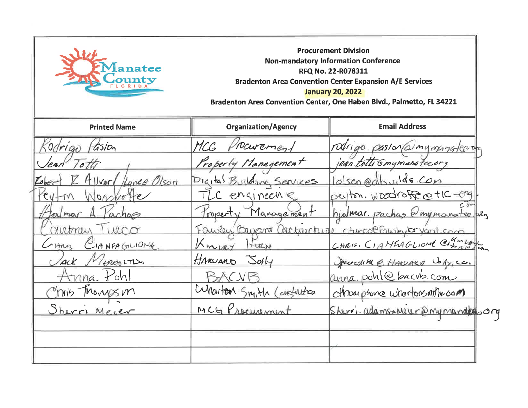

Procurement Division Non-mandatory Information Conference RFQ No. 22-R078311 Bradenton Area Convention Center Expansion A/E Services January 20, 2022 Bradenton Area Convention Center, One Haben Blvd., Palmetto, FL 34221

| <b>Printed Name</b>          | <b>Organization/Agency</b> | <b>Email Address</b>                             |  |
|------------------------------|----------------------------|--------------------------------------------------|--|
| Codrigo <i>(Gsion</i>        | MCG Procurement            | rodrigo pasional mymergalee da                   |  |
| lean Totti                   | Property Management        | jean totti Gmymanatee.org                        |  |
| Allvard Hance Olson<br>Lobec | Digital Building Services  | lolsen@dbuilds.com                               |  |
| Noorfotte<br>$cy+m$          | TLC engineens              | peyton. Woodroffe cetIC-engl.                    |  |
| almar<br>achas               | Property Management        | hjalmar. Pachas @mymonteep2g                     |  |
| rutnin Twico                 |                            | Fawley Bayant accounter chircolfawley bryant.com |  |
| CIANFAGLIONE<br>Han          | Kingay<br>$H$ arzy         | CHRIS, CIAMEAGLIOME CHang                        |  |
| Jack Minesins                | $H$ ARUARD $S$ olly        | Spacedithe e. HARVARD Voly, co.                  |  |
| Anna Pohl                    |                            | anna. pohle bacvb.com                            |  |
| Phis Thomps m                | Cunarton Smith Cansulation | champsone whereasonithe as on                    |  |
| Sherri Meier                 | MCG Procurement            | Sherri adamsmeur@mymandtes.org                   |  |
|                              |                            |                                                  |  |
|                              |                            |                                                  |  |
|                              |                            |                                                  |  |